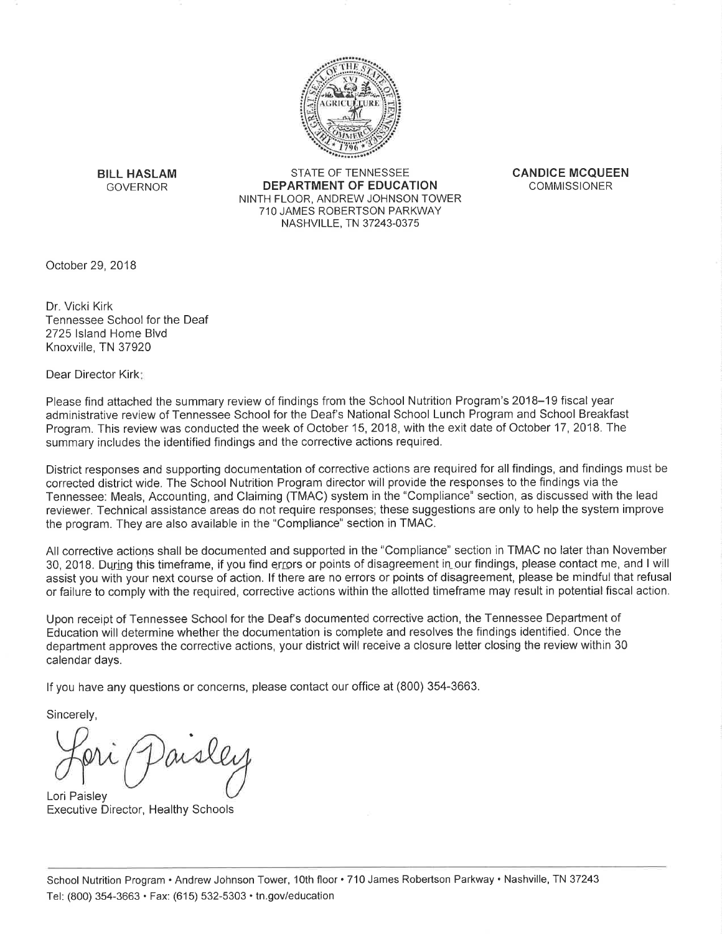

**BILL HASLAM GOVERNOR** 

STATE OF TENNESSEE **DEPARTMENT OF EDUCATION** NINTH FLOOR, ANDREW JOHNSON TOWER 710 JAMES ROBERTSON PARKWAY NASHVILLE, TN 37243-0375

**CANDICE MCOUEEN COMMISSIONER** 

October 29, 2018

Dr. Vicki Kirk Tennessee School for the Deaf 2725 Island Home Blvd Knoxville, TN 37920

Dear Director Kirkt

Please find attached the summary review of findings from the School Nutrition Program's 2018–19 fiscal year administrative review of Tennessee School for the Deaf's National School Lunch Program and School Breakfast Program. This review was conducted the week of October 15, 2018, with the exit date of October 17, 2018. The summary includes the identified findings and the corrective actions required.

District responses and supporting documentation of corrective actions are required for all findings, and findings must be corrected district wide. The School Nutrition Program director will provide the responses to the findings via the Tennessee: Meals, Accounting, and Claiming (TMAC) system in the "Compliance" section, as discussed with the lead reviewer. Technical assistance areas do not require responses; these suggestions are only to help the system improve the program. They are also available in the "Compliance" section in TMAC.

All corrective actions shall be documented and supported in the "Compliance" section in TMAC no later than November 30, 2018. During this timeframe, if you find errors or points of disagreement in our findings, please contact me, and I will assist you with your next course of action. If there are no errors or points of disagreement, please be mindful that refusal or failure to comply with the required, corrective actions within the allotted timeframe may result in potential fiscal action.

Upon receipt of Tennessee School for the Deaf's documented corrective action, the Tennessee Department of Education will determine whether the documentation is complete and resolves the findings identified. Once the department approves the corrective actions, your district will receive a closure letter closing the review within 30 calendar days.

If you have any questions or concerns, please contact our office at (800) 354-3663.

Sincerely,

Lori Paisley **Executive Director, Healthy Schools**